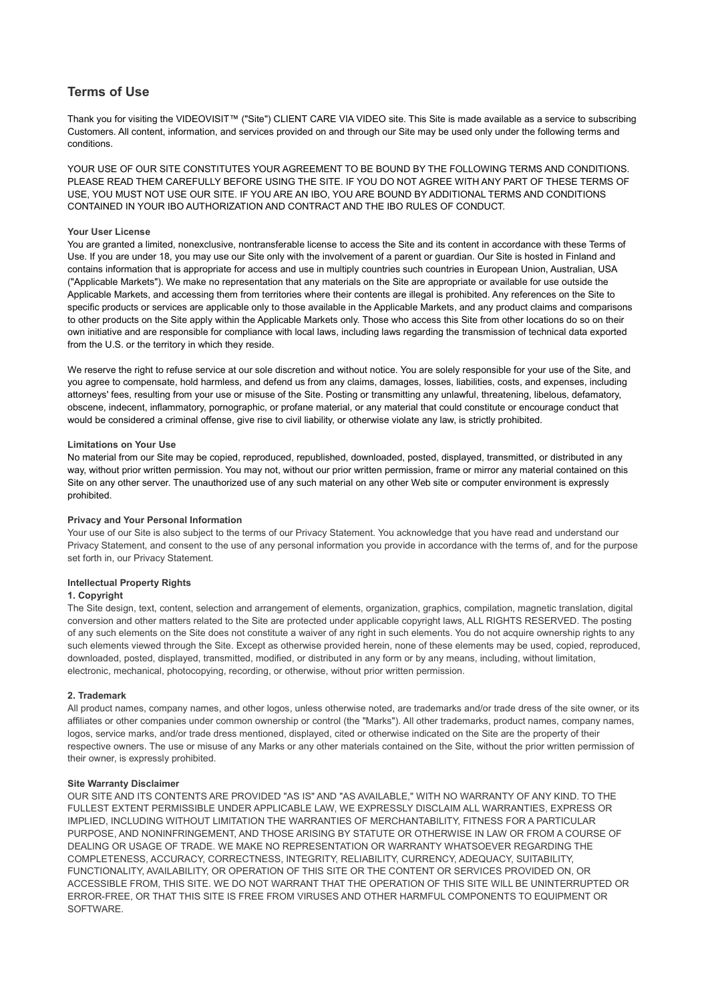# **Terms of Use**

Thank you for visiting the VIDEOVISIT™ ("Site") CLIENT CARE VIA VIDEO site. This Site is made available as a service to subscribing Customers. All content, information, and services provided on and through our Site may be used only under the following terms and conditions.

YOUR USE OF OUR SITE CONSTITUTES YOUR AGREEMENT TO BE BOUND BY THE FOLLOWING TERMS AND CONDITIONS. PLEASE READ THEM CAREFULLY BEFORE USING THE SITE. IF YOU DO NOT AGREE WITH ANY PART OF THESE TERMS OF USE, YOU MUST NOT USE OUR SITE. IF YOU ARE AN IBO, YOU ARE BOUND BY ADDITIONAL TERMS AND CONDITIONS CONTAINED IN YOUR IBO AUTHORIZATION AND CONTRACT AND THE IBO RULES OF CONDUCT.

# **Your User License**

You are granted a limited, nonexclusive, nontransferable license to access the Site and its content in accordance with these Terms of Use. If you are under 18, you may use our Site only with the involvement of a parent or guardian. Our Site is hosted in Finland and contains information that is appropriate for access and use in multiply countries such countries in European Union, Australian, USA ("Applicable Markets"). We make no representation that any materials on the Site are appropriate or available for use outside the Applicable Markets, and accessing them from territories where their contents are illegal is prohibited. Any references on the Site to specific products or services are applicable only to those available in the Applicable Markets, and any product claims and comparisons to other products on the Site apply within the Applicable Markets only. Those who access this Site from other locations do so on their own initiative and are responsible for compliance with local laws, including laws regarding the transmission of technical data exported from the U.S. or the territory in which they reside.

We reserve the right to refuse service at our sole discretion and without notice. You are solely responsible for your use of the Site, and you agree to compensate, hold harmless, and defend us from any claims, damages, losses, liabilities, costs, and expenses, including attorneys' fees, resulting from your use or misuse of the Site. Posting or transmitting any unlawful, threatening, libelous, defamatory, obscene, indecent, inflammatory, pornographic, or profane material, or any material that could constitute or encourage conduct that would be considered a criminal offense, give rise to civil liability, or otherwise violate any law, is strictly prohibited.

#### **Limitations on Your Use**

No material from our Site may be copied, reproduced, republished, downloaded, posted, displayed, transmitted, or distributed in any way, without prior written permission. You may not, without our prior written permission, frame or mirror any material contained on this Site on any other server. The unauthorized use of any such material on any other Web site or computer environment is expressly prohibited.

# **Privacy and Your Personal Information**

Your use of our Site is also subject to the terms of our Privacy Statement. You acknowledge that you have read and understand our Privacy Statement, and consent to the use of any personal information you provide in accordance with the terms of, and for the purpose set forth in, our Privacy Statement.

# **Intellectual Property Rights**

# **1. Copyright**

The Site design, text, content, selection and arrangement of elements, organization, graphics, compilation, magnetic translation, digital conversion and other matters related to the Site are protected under applicable copyright laws, ALL RIGHTS RESERVED. The posting of any such elements on the Site does not constitute a waiver of any right in such elements. You do not acquire ownership rights to any such elements viewed through the Site. Except as otherwise provided herein, none of these elements may be used, copied, reproduced, downloaded, posted, displayed, transmitted, modified, or distributed in any form or by any means, including, without limitation, electronic, mechanical, photocopying, recording, or otherwise, without prior written permission.

#### **2. Trademark**

All product names, company names, and other logos, unless otherwise noted, are trademarks and/or trade dress of the site owner, or its affiliates or other companies under common ownership or control (the "Marks"). All other trademarks, product names, company names, logos, service marks, and/or trade dress mentioned, displayed, cited or otherwise indicated on the Site are the property of their respective owners. The use or misuse of any Marks or any other materials contained on the Site, without the prior written permission of their owner, is expressly prohibited.

#### **Site Warranty Disclaimer**

OUR SITE AND ITS CONTENTS ARE PROVIDED "AS IS" AND "AS AVAILABLE," WITH NO WARRANTY OF ANY KIND. TO THE FULLEST EXTENT PERMISSIBLE UNDER APPLICABLE LAW, WE EXPRESSLY DISCLAIM ALL WARRANTIES, EXPRESS OR IMPLIED, INCLUDING WITHOUT LIMITATION THE WARRANTIES OF MERCHANTABILITY, FITNESS FOR A PARTICULAR PURPOSE, AND NONINFRINGEMENT, AND THOSE ARISING BY STATUTE OR OTHERWISE IN LAW OR FROM A COURSE OF DEALING OR USAGE OF TRADE. WE MAKE NO REPRESENTATION OR WARRANTY WHATSOEVER REGARDING THE COMPLETENESS, ACCURACY, CORRECTNESS, INTEGRITY, RELIABILITY, CURRENCY, ADEQUACY, SUITABILITY, FUNCTIONALITY, AVAILABILITY, OR OPERATION OF THIS SITE OR THE CONTENT OR SERVICES PROVIDED ON, OR ACCESSIBLE FROM, THIS SITE. WE DO NOT WARRANT THAT THE OPERATION OF THIS SITE WILL BE UNINTERRUPTED OR ERROR-FREE, OR THAT THIS SITE IS FREE FROM VIRUSES AND OTHER HARMFUL COMPONENTS TO EQUIPMENT OR SOFTWARE.